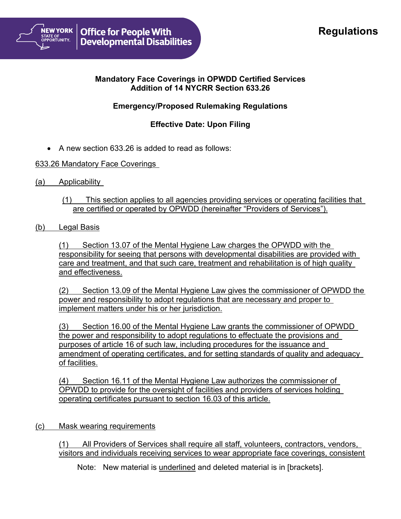# **Regulations**



### **Mandatory Face Coverings in OPWDD Certified Services Addition of 14 NYCRR Section 633.26**

# **Emergency/Proposed Rulemaking Regulations**

## **Effective Date: Upon Filing**

• A new section 633.26 is added to read as follows:

#### 633.26 Mandatory Face Coverings

- (a) Applicability
	- (1) This section applies to all agencies providing services or operating facilities that are certified or operated by OPWDD (hereinafter "Providers of Services").
- (b) Legal Basis

(1) Section 13.07 of the Mental Hygiene Law charges the OPWDD with the responsibility for seeing that persons with developmental disabilities are provided with care and treatment, and that such care, treatment and rehabilitation is of high quality and effectiveness.

(2) Section 13.09 of the Mental Hygiene Law gives the commissioner of OPWDD the power and responsibility to adopt regulations that are necessary and proper to implement matters under his or her jurisdiction.

(3) Section 16.00 of the Mental Hygiene Law grants the commissioner of OPWDD the power and responsibility to adopt regulations to effectuate the provisions and purposes of article 16 of such law, including procedures for the issuance and amendment of operating certificates, and for setting standards of quality and adequacy of facilities.

(4) Section 16.11 of the Mental Hygiene Law authorizes the commissioner of OPWDD to provide for the oversight of facilities and providers of services holding operating certificates pursuant to section 16.03 of this article.

(c) Mask wearing requirements

(1) All Providers of Services shall require all staff, volunteers, contractors, vendors, visitors and individuals receiving services to wear appropriate face coverings, consistent

Note: New material is underlined and deleted material is in [brackets].